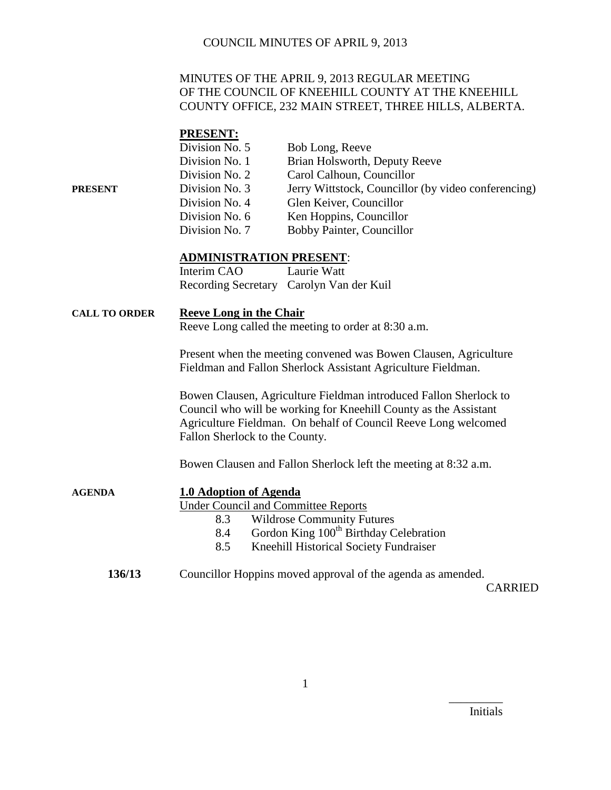### MINUTES OF THE APRIL 9, 2013 REGULAR MEETING OF THE COUNCIL OF KNEEHILL COUNTY AT THE KNEEHILL COUNTY OFFICE, 232 MAIN STREET, THREE HILLS, ALBERTA.

#### **PRESENT:**

|         | Division No. 5 | Bob Long, Reeve                                     |
|---------|----------------|-----------------------------------------------------|
|         | Division No. 1 | Brian Holsworth, Deputy Reeve                       |
|         | Division No. 2 | Carol Calhoun, Councillor                           |
| PRESENT | Division No. 3 | Jerry Wittstock, Councillor (by video conferencing) |
|         | Division No. 4 | Glen Keiver, Councillor                             |
|         | Division No. 6 | Ken Hoppins, Councillor                             |
|         | Division No. 7 | Bobby Painter, Councillor                           |

#### **ADMINISTRATION PRESENT**:

| Interim CAO | Laurie Watt                              |
|-------------|------------------------------------------|
|             | Recording Secretary Carolyn Van der Kuil |

#### **CALL TO ORDER Reeve Long in the Chair**

Reeve Long called the meeting to order at 8:30 a.m.

Present when the meeting convened was Bowen Clausen, Agriculture Fieldman and Fallon Sherlock Assistant Agriculture Fieldman.

Bowen Clausen, Agriculture Fieldman introduced Fallon Sherlock to Council who will be working for Kneehill County as the Assistant Agriculture Fieldman. On behalf of Council Reeve Long welcomed Fallon Sherlock to the County.

Bowen Clausen and Fallon Sherlock left the meeting at 8:32 a.m.

| <b>AGENDA</b> | 1.0 Adoption of Agenda                                      |
|---------------|-------------------------------------------------------------|
|               | <b>Under Council and Committee Reports</b>                  |
|               | <b>Wildrose Community Futures</b><br>8.3                    |
|               | Gordon King 100 <sup>th</sup> Birthday Celebration<br>8.4   |
|               | Kneehill Historical Society Fundraiser<br>8.5               |
| 136/13        | Councillor Hoppins moved approval of the agenda as amended. |

CARRIED

Initials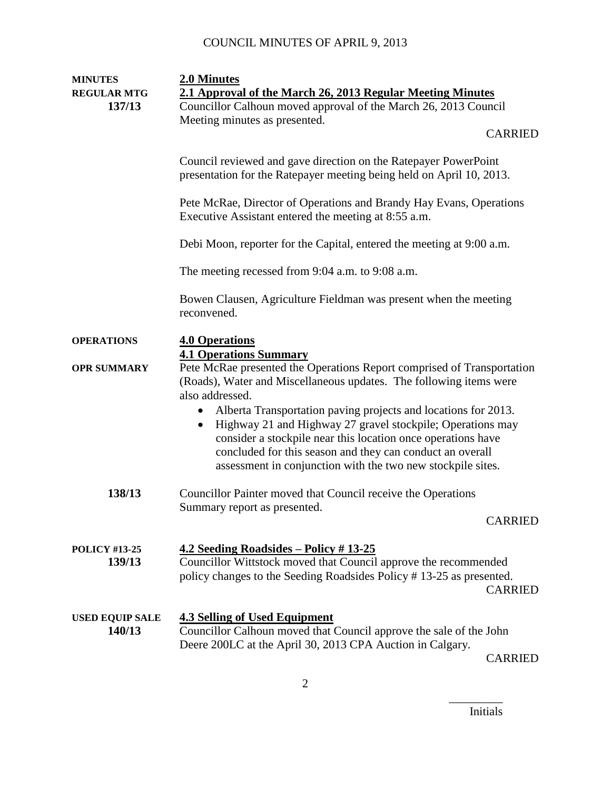| <b>MINUTES</b>                   | 2.0 Minutes                                                                                                                                                                                                                                                                                                                                                                                                                                                                                                   |                |
|----------------------------------|---------------------------------------------------------------------------------------------------------------------------------------------------------------------------------------------------------------------------------------------------------------------------------------------------------------------------------------------------------------------------------------------------------------------------------------------------------------------------------------------------------------|----------------|
| <b>REGULAR MTG</b>               | 2.1 Approval of the March 26, 2013 Regular Meeting Minutes                                                                                                                                                                                                                                                                                                                                                                                                                                                    |                |
| 137/13                           | Councillor Calhoun moved approval of the March 26, 2013 Council                                                                                                                                                                                                                                                                                                                                                                                                                                               |                |
|                                  | Meeting minutes as presented.                                                                                                                                                                                                                                                                                                                                                                                                                                                                                 |                |
|                                  |                                                                                                                                                                                                                                                                                                                                                                                                                                                                                                               | <b>CARRIED</b> |
|                                  | Council reviewed and gave direction on the Ratepayer PowerPoint<br>presentation for the Ratepayer meeting being held on April 10, 2013.                                                                                                                                                                                                                                                                                                                                                                       |                |
|                                  | Pete McRae, Director of Operations and Brandy Hay Evans, Operations<br>Executive Assistant entered the meeting at 8:55 a.m.                                                                                                                                                                                                                                                                                                                                                                                   |                |
|                                  | Debi Moon, reporter for the Capital, entered the meeting at 9:00 a.m.                                                                                                                                                                                                                                                                                                                                                                                                                                         |                |
|                                  | The meeting recessed from 9:04 a.m. to 9:08 a.m.                                                                                                                                                                                                                                                                                                                                                                                                                                                              |                |
|                                  | Bowen Clausen, Agriculture Fieldman was present when the meeting<br>reconvened.                                                                                                                                                                                                                                                                                                                                                                                                                               |                |
| <b>OPERATIONS</b>                | <b>4.0 Operations</b><br><b>4.1 Operations Summary</b>                                                                                                                                                                                                                                                                                                                                                                                                                                                        |                |
| <b>OPR SUMMARY</b>               | Pete McRae presented the Operations Report comprised of Transportation<br>(Roads), Water and Miscellaneous updates. The following items were<br>also addressed.<br>Alberta Transportation paving projects and locations for 2013.<br>٠<br>Highway 21 and Highway 27 gravel stockpile; Operations may<br>$\bullet$<br>consider a stockpile near this location once operations have<br>concluded for this season and they can conduct an overall<br>assessment in conjunction with the two new stockpile sites. |                |
| 138/13                           | Councillor Painter moved that Council receive the Operations<br>Summary report as presented.                                                                                                                                                                                                                                                                                                                                                                                                                  | <b>CARRIED</b> |
| <b>POLICY #13-25</b><br>139/13   | <u>4.2 Seeding Roadsides – Policy # 13-25</u><br>Councillor Wittstock moved that Council approve the recommended<br>policy changes to the Seeding Roadsides Policy #13-25 as presented.                                                                                                                                                                                                                                                                                                                       | <b>CARRIED</b> |
| <b>USED EQUIP SALE</b><br>140/13 | <b>4.3 Selling of Used Equipment</b><br>Councillor Calhoun moved that Council approve the sale of the John<br>Deere 200LC at the April 30, 2013 CPA Auction in Calgary.                                                                                                                                                                                                                                                                                                                                       | <b>CARRIED</b> |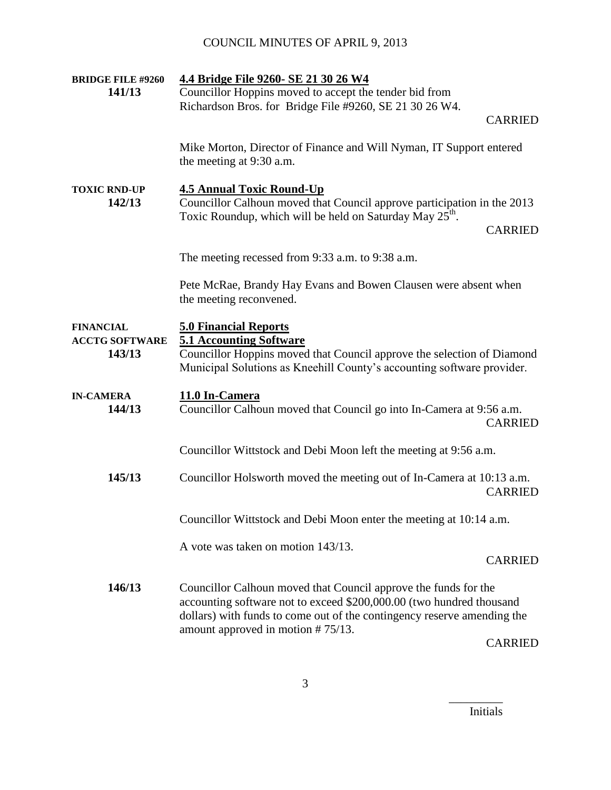| <b>BRIDGE FILE #9260</b>                            | 4.4 Bridge File 9260- SE 21 30 26 W4                                                                                                                                                                                                                        |                |
|-----------------------------------------------------|-------------------------------------------------------------------------------------------------------------------------------------------------------------------------------------------------------------------------------------------------------------|----------------|
| 141/13                                              | Councillor Hoppins moved to accept the tender bid from                                                                                                                                                                                                      |                |
|                                                     | Richardson Bros. for Bridge File #9260, SE 21 30 26 W4.                                                                                                                                                                                                     |                |
|                                                     |                                                                                                                                                                                                                                                             | <b>CARRIED</b> |
|                                                     | Mike Morton, Director of Finance and Will Nyman, IT Support entered<br>the meeting at 9:30 a.m.                                                                                                                                                             |                |
| <b>TOXIC RND-UP</b><br>142/13                       | <b>4.5 Annual Toxic Round-Up</b><br>Councillor Calhoun moved that Council approve participation in the 2013<br>Toxic Roundup, which will be held on Saturday May 25 <sup>th</sup> .                                                                         | <b>CARRIED</b> |
|                                                     | The meeting recessed from 9:33 a.m. to 9:38 a.m.                                                                                                                                                                                                            |                |
|                                                     |                                                                                                                                                                                                                                                             |                |
|                                                     | Pete McRae, Brandy Hay Evans and Bowen Clausen were absent when<br>the meeting reconvened.                                                                                                                                                                  |                |
| <b>FINANCIAL</b><br><b>ACCTG SOFTWARE</b><br>143/13 | <b>5.0 Financial Reports</b><br><b>5.1 Accounting Software</b><br>Councillor Hoppins moved that Council approve the selection of Diamond<br>Municipal Solutions as Kneehill County's accounting software provider.                                          |                |
| <b>IN-CAMERA</b><br>144/13                          | 11.0 In-Camera<br>Councillor Calhoun moved that Council go into In-Camera at 9:56 a.m.                                                                                                                                                                      | <b>CARRIED</b> |
|                                                     | Councillor Wittstock and Debi Moon left the meeting at 9:56 a.m.                                                                                                                                                                                            |                |
| 145/13                                              | Councillor Holsworth moved the meeting out of In-Camera at 10:13 a.m.                                                                                                                                                                                       | <b>CARRIED</b> |
|                                                     | Councillor Wittstock and Debi Moon enter the meeting at 10:14 a.m.                                                                                                                                                                                          |                |
|                                                     | A vote was taken on motion 143/13.                                                                                                                                                                                                                          |                |
|                                                     |                                                                                                                                                                                                                                                             | <b>CARRIED</b> |
| 146/13                                              | Councillor Calhoun moved that Council approve the funds for the<br>accounting software not to exceed \$200,000.00 (two hundred thousand<br>dollars) with funds to come out of the contingency reserve amending the<br>amount approved in motion $# 75/13$ . |                |
|                                                     |                                                                                                                                                                                                                                                             | <b>CARRIED</b> |

Initials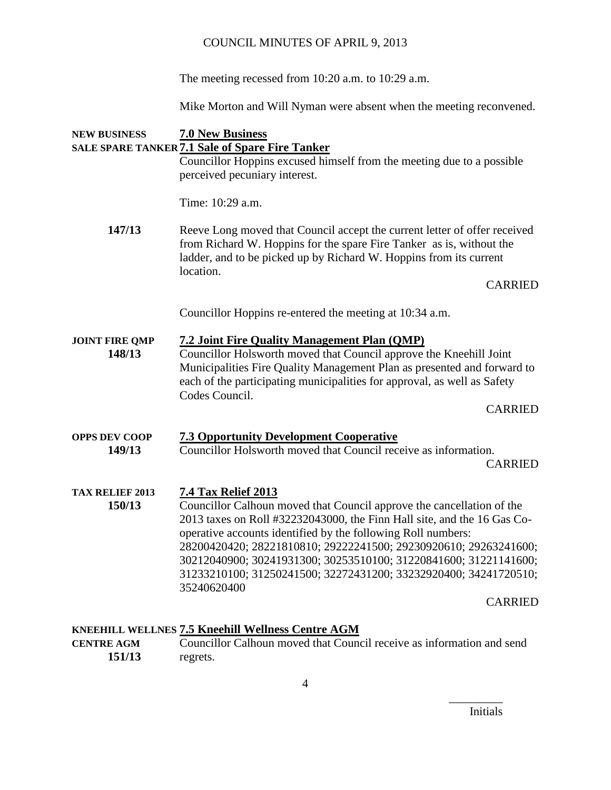The meeting recessed from 10:20 a.m. to 10:29 a.m.

Mike Morton and Will Nyman were absent when the meeting reconvened.

# **NEW BUSINESS 7.0 New Business SALE SPARE TANKER 7.1 Sale of Spare Fire Tanker** Councillor Hoppins excused himself from the meeting due to a possible perceived pecuniary interest. Time: 10:29 a.m. **147/13** Reeve Long moved that Council accept the current letter of offer received from Richard W. Hoppins for the spare Fire Tanker as is, without the ladder, and to be picked up by Richard W. Hoppins from its current location. CARRIED Councillor Hoppins re-entered the meeting at 10:34 a.m. **JOINT FIRE QMP 7.2 Joint Fire Quality Management Plan (QMP) 148/13** Councillor Holsworth moved that Council approve the Kneehill Joint Municipalities Fire Quality Management Plan as presented and forward to each of the participating municipalities for approval, as well as Safety Codes Council. CARRIED **OPPS DEV COOP 7.3 Opportunity Development Cooperative 149/13** Councillor Holsworth moved that Council receive as information. CARRIED **TAX RELIEF 2013 7.4 Tax Relief 2013 150/13** Councillor Calhoun moved that Council approve the cancellation of the 2013 taxes on Roll #32232043000, the Finn Hall site, and the 16 Gas Cooperative accounts identified by the following Roll numbers: 28200420420; 28221810810; 29222241500; 29230920610; 29263241600; 30212040900; 30241931300; 30253510100; 31220841600; 31221141600; 31233210100; 31250241500; 32272431200; 33232920400; 34241720510; 35240620400 CARRIED **KNEEHILL WELLNES 7.5 Kneehill Wellness Centre AGM**

#### **CENTRE AGM** Councillor Calhoun moved that Council receive as information and send **151/13** regrets.

Initials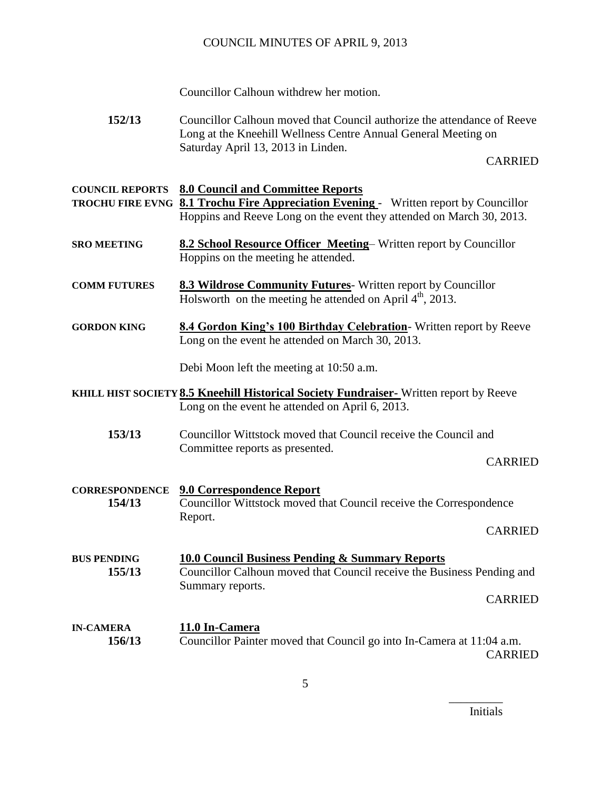Councillor Calhoun withdrew her motion.

**152/13** Councillor Calhoun moved that Council authorize the attendance of Reeve Long at the Kneehill Wellness Centre Annual General Meeting on Saturday April 13, 2013 in Linden.

CARRIED

| <b>COUNCIL REPORTS</b>          | <b>8.0 Council and Committee Reports</b><br><b>TROCHU FIRE EVNG 8.1 Trochu Fire Appreciation Evening -</b> Written report by Councillor<br>Hoppins and Reeve Long on the event they attended on March 30, 2013. |
|---------------------------------|-----------------------------------------------------------------------------------------------------------------------------------------------------------------------------------------------------------------|
| <b>SRO MEETING</b>              | 8.2 School Resource Officer Meeting-Written report by Councillor<br>Hoppins on the meeting he attended.                                                                                                         |
| <b>COMM FUTURES</b>             | 8.3 Wildrose Community Futures-Written report by Councillor<br>Holsworth on the meeting he attended on April 4 <sup>th</sup> , 2013.                                                                            |
| <b>GORDON KING</b>              | 8.4 Gordon King's 100 Birthday Celebration- Written report by Reeve<br>Long on the event he attended on March 30, 2013.                                                                                         |
|                                 | Debi Moon left the meeting at 10:50 a.m.                                                                                                                                                                        |
|                                 | KHILL HIST SOCIETY 8.5 Kneehill Historical Society Fundraiser-Written report by Reeve<br>Long on the event he attended on April 6, 2013.                                                                        |
| 153/13                          | Councillor Wittstock moved that Council receive the Council and<br>Committee reports as presented.<br><b>CARRIED</b>                                                                                            |
| <b>CORRESPONDENCE</b><br>154/13 | <b>9.0 Correspondence Report</b><br>Councillor Wittstock moved that Council receive the Correspondence<br>Report.<br><b>CARRIED</b>                                                                             |
| <b>BUS PENDING</b><br>155/13    | <b>10.0 Council Business Pending &amp; Summary Reports</b><br>Councillor Calhoun moved that Council receive the Business Pending and<br>Summary reports.<br><b>CARRIED</b>                                      |
| <b>IN-CAMERA</b><br>156/13      | 11.0 In-Camera<br>Councillor Painter moved that Council go into In-Camera at 11:04 a.m.<br><b>CARRIED</b>                                                                                                       |

Initials